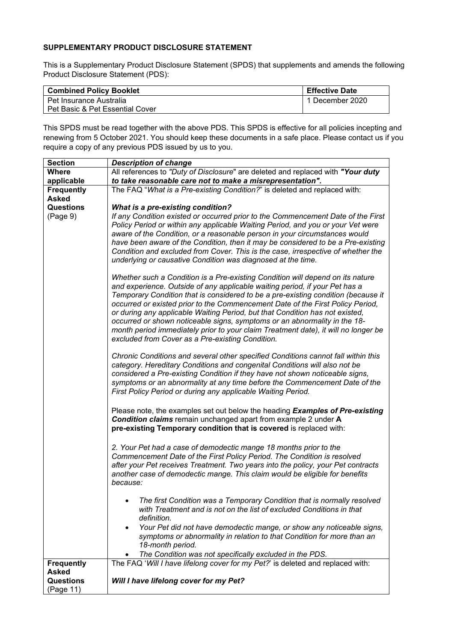## **SUPPLEMENTARY PRODUCT DISCLOSURE STATEMENT**

This is a Supplementary Product Disclosure Statement (SPDS) that supplements and amends the following Product Disclosure Statement (PDS):

| <b>Combined Policy Booklet</b>  | <b>Effective Date</b> |
|---------------------------------|-----------------------|
| l Pet Insurance Australia       | 1 December 2020       |
| Pet Basic & Pet Essential Cover |                       |

This SPDS must be read together with the above PDS. This SPDS is effective for all policies incepting and renewing from 5 October 2021. You should keep these documents in a safe place. Please contact us if you require a copy of any previous PDS issued by us to you.

| <b>Section</b>    | <b>Description of change</b>                                                                                                                                                                                                                                                                                                                                                                                                                                                                                                                                                                                                                |
|-------------------|---------------------------------------------------------------------------------------------------------------------------------------------------------------------------------------------------------------------------------------------------------------------------------------------------------------------------------------------------------------------------------------------------------------------------------------------------------------------------------------------------------------------------------------------------------------------------------------------------------------------------------------------|
| <b>Where</b>      | All references to "Duty of Disclosure" are deleted and replaced with "Your duty                                                                                                                                                                                                                                                                                                                                                                                                                                                                                                                                                             |
| applicable        | to take reasonable care not to make a misrepresentation".                                                                                                                                                                                                                                                                                                                                                                                                                                                                                                                                                                                   |
| <b>Frequently</b> | The FAQ "What is a Pre-existing Condition?" is deleted and replaced with:                                                                                                                                                                                                                                                                                                                                                                                                                                                                                                                                                                   |
| <b>Asked</b>      |                                                                                                                                                                                                                                                                                                                                                                                                                                                                                                                                                                                                                                             |
| Questions         | <b>What is a pre-existing condition?</b>                                                                                                                                                                                                                                                                                                                                                                                                                                                                                                                                                                                                    |
| (Page 9)          | If any Condition existed or occurred prior to the Commencement Date of the First<br>Policy Period or within any applicable Waiting Period, and you or your Vet were<br>aware of the Condition, or a reasonable person in your circumstances would<br>have been aware of the Condition, then it may be considered to be a Pre-existing<br>Condition and excluded from Cover. This is the case, irrespective of whether the<br>underlying or causative Condition was diagnosed at the time.                                                                                                                                                   |
|                   | Whether such a Condition is a Pre-existing Condition will depend on its nature<br>and experience. Outside of any applicable waiting period, if your Pet has a<br>Temporary Condition that is considered to be a pre-existing condition (because it<br>occurred or existed prior to the Commencement Date of the First Policy Period,<br>or during any applicable Waiting Period, but that Condition has not existed,<br>occurred or shown noticeable signs, symptoms or an abnormality in the 18-<br>month period immediately prior to your claim Treatment date), it will no longer be<br>excluded from Cover as a Pre-existing Condition. |
|                   | Chronic Conditions and several other specified Conditions cannot fall within this<br>category. Hereditary Conditions and congenital Conditions will also not be<br>considered a Pre-existing Condition if they have not shown noticeable signs,<br>symptoms or an abnormality at any time before the Commencement Date of the<br>First Policy Period or during any applicable Waiting Period.                                                                                                                                                                                                                                               |
|                   | Please note, the examples set out below the heading Examples of Pre-existing<br><b>Condition claims</b> remain unchanged apart from example 2 under A<br>pre-existing Temporary condition that is covered is replaced with:                                                                                                                                                                                                                                                                                                                                                                                                                 |
|                   | 2. Your Pet had a case of demodectic mange 18 months prior to the<br>Commencement Date of the First Policy Period. The Condition is resolved<br>after your Pet receives Treatment. Two years into the policy, your Pet contracts<br>another case of demodectic mange. This claim would be eligible for benefits<br>because:                                                                                                                                                                                                                                                                                                                 |
|                   | The first Condition was a Temporary Condition that is normally resolved<br>with Treatment and is not on the list of excluded Conditions in that<br>definition.                                                                                                                                                                                                                                                                                                                                                                                                                                                                              |
|                   | Your Pet did not have demodectic mange, or show any noticeable signs,<br>symptoms or abnormality in relation to that Condition for more than an<br>18-month period.<br>The Condition was not specifically excluded in the PDS.                                                                                                                                                                                                                                                                                                                                                                                                              |
| <b>Frequently</b> | The FAQ 'Will I have lifelong cover for my Pet?' is deleted and replaced with:                                                                                                                                                                                                                                                                                                                                                                                                                                                                                                                                                              |
| Asked             |                                                                                                                                                                                                                                                                                                                                                                                                                                                                                                                                                                                                                                             |
| <b>Questions</b>  | Will I have lifelong cover for my Pet?                                                                                                                                                                                                                                                                                                                                                                                                                                                                                                                                                                                                      |
| (Page 11)         |                                                                                                                                                                                                                                                                                                                                                                                                                                                                                                                                                                                                                                             |
|                   |                                                                                                                                                                                                                                                                                                                                                                                                                                                                                                                                                                                                                                             |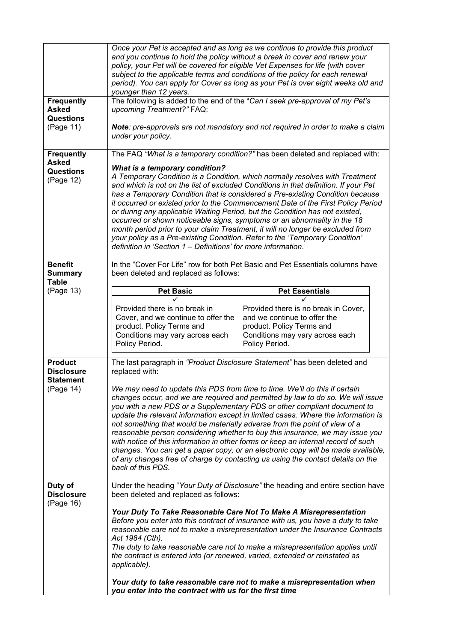| <b>Frequently</b><br><b>Asked</b><br>upcoming Treatment?" FAQ:<br><b>Questions</b><br>(Page 11)<br>under your policy.<br><b>Frequently</b><br><b>Asked</b><br><b>What is a temporary condition?</b><br><b>Questions</b><br>(Page 12)<br>definition in 'Section 1 – Definitions' for more information.<br><b>Benefit</b><br>been deleted and replaced as follows:<br><b>Summary</b><br><b>Table</b><br>(Page 13)<br><b>Pet Basic</b><br>Provided there is no break in<br>Cover, and we continue to offer the<br>product. Policy Terms and<br>Conditions may vary across each<br>Policy Period.<br><b>Product</b><br>replaced with:<br><b>Disclosure</b><br><b>Statement</b><br>(Page 14)<br>back of this PDS.<br>Duty of<br><b>Disclosure</b><br>been deleted and replaced as follows:<br>(Page 16) | The following is added to the end of the "Can I seek pre-approval of my Pet's                                                                                                                                                                                                                                                                                                                                                                                                                                                                                                                                                                                                                                                                                                                                                          |
|----------------------------------------------------------------------------------------------------------------------------------------------------------------------------------------------------------------------------------------------------------------------------------------------------------------------------------------------------------------------------------------------------------------------------------------------------------------------------------------------------------------------------------------------------------------------------------------------------------------------------------------------------------------------------------------------------------------------------------------------------------------------------------------------------|----------------------------------------------------------------------------------------------------------------------------------------------------------------------------------------------------------------------------------------------------------------------------------------------------------------------------------------------------------------------------------------------------------------------------------------------------------------------------------------------------------------------------------------------------------------------------------------------------------------------------------------------------------------------------------------------------------------------------------------------------------------------------------------------------------------------------------------|
|                                                                                                                                                                                                                                                                                                                                                                                                                                                                                                                                                                                                                                                                                                                                                                                                    |                                                                                                                                                                                                                                                                                                                                                                                                                                                                                                                                                                                                                                                                                                                                                                                                                                        |
|                                                                                                                                                                                                                                                                                                                                                                                                                                                                                                                                                                                                                                                                                                                                                                                                    | Note: pre-approvals are not mandatory and not required in order to make a claim                                                                                                                                                                                                                                                                                                                                                                                                                                                                                                                                                                                                                                                                                                                                                        |
|                                                                                                                                                                                                                                                                                                                                                                                                                                                                                                                                                                                                                                                                                                                                                                                                    | The FAQ "What is a temporary condition?" has been deleted and replaced with:<br>A Temporary Condition is a Condition, which normally resolves with Treatment<br>and which is not on the list of excluded Conditions in that definition. If your Pet<br>has a Temporary Condition that is considered a Pre-existing Condition because<br>it occurred or existed prior to the Commencement Date of the First Policy Period<br>or during any applicable Waiting Period, but the Condition has not existed,<br>occurred or shown noticeable signs, symptoms or an abnormality in the 18<br>month period prior to your claim Treatment, it will no longer be excluded from<br>your policy as a Pre-existing Condition. Refer to the 'Temporary Condition'                                                                                   |
|                                                                                                                                                                                                                                                                                                                                                                                                                                                                                                                                                                                                                                                                                                                                                                                                    | In the "Cover For Life" row for both Pet Basic and Pet Essentials columns have                                                                                                                                                                                                                                                                                                                                                                                                                                                                                                                                                                                                                                                                                                                                                         |
|                                                                                                                                                                                                                                                                                                                                                                                                                                                                                                                                                                                                                                                                                                                                                                                                    | <b>Pet Essentials</b><br>Provided there is no break in Cover,<br>and we continue to offer the<br>product. Policy Terms and<br>Conditions may vary across each<br>Policy Period.                                                                                                                                                                                                                                                                                                                                                                                                                                                                                                                                                                                                                                                        |
|                                                                                                                                                                                                                                                                                                                                                                                                                                                                                                                                                                                                                                                                                                                                                                                                    | The last paragraph in "Product Disclosure Statement" has been deleted and<br>We may need to update this PDS from time to time. We'll do this if certain<br>changes occur, and we are required and permitted by law to do so. We will issue<br>you with a new PDS or a Supplementary PDS or other compliant document to<br>update the relevant information except in limited cases. Where the information is<br>not something that would be materially adverse from the point of view of a<br>reasonable person considering whether to buy this insurance, we may issue you<br>with notice of this information in other forms or keep an internal record of such<br>changes. You can get a paper copy, or an electronic copy will be made available,<br>of any changes free of charge by contacting us using the contact details on the |
| Act 1984 (Cth).<br>the contract is entered into (or renewed, varied, extended or reinstated as<br>applicable).<br>Your duty to take reasonable care not to make a misrepresentation when<br>you enter into the contract with us for the first time                                                                                                                                                                                                                                                                                                                                                                                                                                                                                                                                                 | Under the heading "Your Duty of Disclosure" the heading and entire section have<br>Your Duty To Take Reasonable Care Not To Make A Misrepresentation<br>Before you enter into this contract of insurance with us, you have a duty to take<br>reasonable care not to make a misrepresentation under the Insurance Contracts<br>The duty to take reasonable care not to make a misrepresentation applies until                                                                                                                                                                                                                                                                                                                                                                                                                           |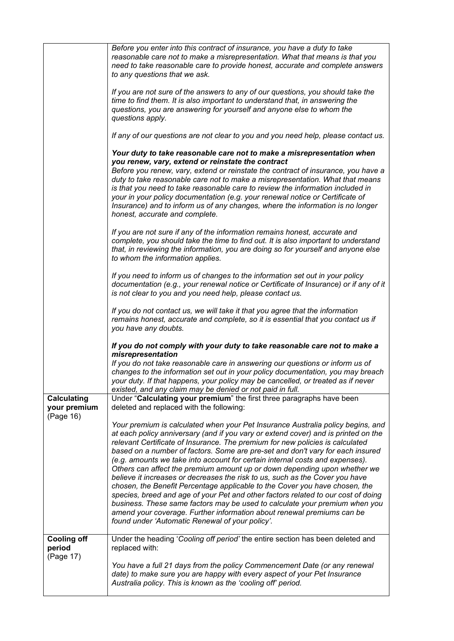|                                                 | Before you enter into this contract of insurance, you have a duty to take<br>reasonable care not to make a misrepresentation. What that means is that you<br>need to take reasonable care to provide honest, accurate and complete answers<br>to any questions that we ask.                                                                                                                                                                                                                                                                                                                                                                                                                                                                                                                                                                                                                                                                                           |
|-------------------------------------------------|-----------------------------------------------------------------------------------------------------------------------------------------------------------------------------------------------------------------------------------------------------------------------------------------------------------------------------------------------------------------------------------------------------------------------------------------------------------------------------------------------------------------------------------------------------------------------------------------------------------------------------------------------------------------------------------------------------------------------------------------------------------------------------------------------------------------------------------------------------------------------------------------------------------------------------------------------------------------------|
|                                                 | If you are not sure of the answers to any of our questions, you should take the<br>time to find them. It is also important to understand that, in answering the<br>questions, you are answering for yourself and anyone else to whom the<br>questions apply.                                                                                                                                                                                                                                                                                                                                                                                                                                                                                                                                                                                                                                                                                                          |
|                                                 | If any of our questions are not clear to you and you need help, please contact us.                                                                                                                                                                                                                                                                                                                                                                                                                                                                                                                                                                                                                                                                                                                                                                                                                                                                                    |
|                                                 | Your duty to take reasonable care not to make a misrepresentation when<br>you renew, vary, extend or reinstate the contract<br>Before you renew, vary, extend or reinstate the contract of insurance, you have a<br>duty to take reasonable care not to make a misrepresentation. What that means<br>is that you need to take reasonable care to review the information included in<br>your in your policy documentation (e.g. your renewal notice or Certificate of<br>Insurance) and to inform us of any changes, where the information is no longer<br>honest, accurate and complete.                                                                                                                                                                                                                                                                                                                                                                              |
|                                                 | If you are not sure if any of the information remains honest, accurate and<br>complete, you should take the time to find out. It is also important to understand<br>that, in reviewing the information, you are doing so for yourself and anyone else<br>to whom the information applies.                                                                                                                                                                                                                                                                                                                                                                                                                                                                                                                                                                                                                                                                             |
|                                                 | If you need to inform us of changes to the information set out in your policy<br>documentation (e.g., your renewal notice or Certificate of Insurance) or if any of it<br>is not clear to you and you need help, please contact us.                                                                                                                                                                                                                                                                                                                                                                                                                                                                                                                                                                                                                                                                                                                                   |
|                                                 | If you do not contact us, we will take it that you agree that the information<br>remains honest, accurate and complete, so it is essential that you contact us if<br>you have any doubts.                                                                                                                                                                                                                                                                                                                                                                                                                                                                                                                                                                                                                                                                                                                                                                             |
|                                                 | If you do not comply with your duty to take reasonable care not to make a<br>misrepresentation<br>If you do not take reasonable care in answering our questions or inform us of<br>changes to the information set out in your policy documentation, you may breach<br>your duty. If that happens, your policy may be cancelled, or treated as if never<br>existed, and any claim may be denied or not paid in full.                                                                                                                                                                                                                                                                                                                                                                                                                                                                                                                                                   |
| <b>Calculating</b><br>your premium<br>(Page 16) | Under "Calculating your premium" the first three paragraphs have been<br>deleted and replaced with the following:                                                                                                                                                                                                                                                                                                                                                                                                                                                                                                                                                                                                                                                                                                                                                                                                                                                     |
|                                                 | Your premium is calculated when your Pet Insurance Australia policy begins, and<br>at each policy anniversary (and if you vary or extend cover) and is printed on the<br>relevant Certificate of Insurance. The premium for new policies is calculated<br>based on a number of factors. Some are pre-set and don't vary for each insured<br>(e.g. amounts we take into account for certain internal costs and expenses).<br>Others can affect the premium amount up or down depending upon whether we<br>believe it increases or decreases the risk to us, such as the Cover you have<br>chosen, the Benefit Percentage applicable to the Cover you have chosen, the<br>species, breed and age of your Pet and other factors related to our cost of doing<br>business. These same factors may be used to calculate your premium when you<br>amend your coverage. Further information about renewal premiums can be<br>found under 'Automatic Renewal of your policy'. |
| <b>Cooling off</b><br>period<br>(Page 17)       | Under the heading 'Cooling off period' the entire section has been deleted and<br>replaced with:                                                                                                                                                                                                                                                                                                                                                                                                                                                                                                                                                                                                                                                                                                                                                                                                                                                                      |
|                                                 | You have a full 21 days from the policy Commencement Date (or any renewal<br>date) to make sure you are happy with every aspect of your Pet Insurance<br>Australia policy. This is known as the 'cooling off' period.                                                                                                                                                                                                                                                                                                                                                                                                                                                                                                                                                                                                                                                                                                                                                 |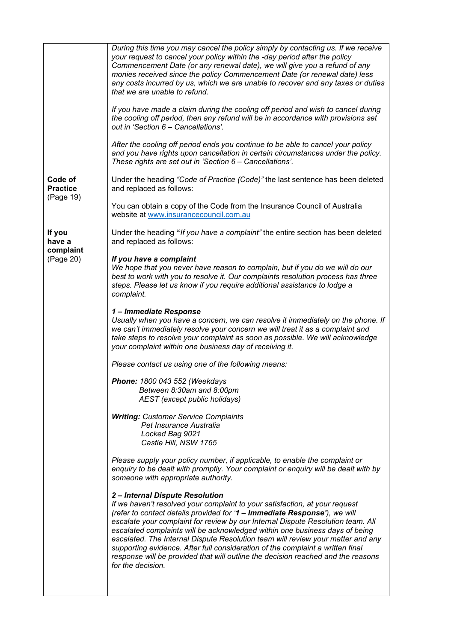|                                         | During this time you may cancel the policy simply by contacting us. If we receive<br>your request to cancel your policy within the -day period after the policy<br>Commencement Date (or any renewal date), we will give you a refund of any<br>monies received since the policy Commencement Date (or renewal date) less<br>any costs incurred by us, which we are unable to recover and any taxes or duties<br>that we are unable to refund.<br>If you have made a claim during the cooling off period and wish to cancel during<br>the cooling off period, then any refund will be in accordance with provisions set<br>out in 'Section 6 - Cancellations'.<br>After the cooling off period ends you continue to be able to cancel your policy<br>and you have rights upon cancellation in certain circumstances under the policy.<br>These rights are set out in 'Section 6 - Cancellations'. |
|-----------------------------------------|---------------------------------------------------------------------------------------------------------------------------------------------------------------------------------------------------------------------------------------------------------------------------------------------------------------------------------------------------------------------------------------------------------------------------------------------------------------------------------------------------------------------------------------------------------------------------------------------------------------------------------------------------------------------------------------------------------------------------------------------------------------------------------------------------------------------------------------------------------------------------------------------------|
|                                         |                                                                                                                                                                                                                                                                                                                                                                                                                                                                                                                                                                                                                                                                                                                                                                                                                                                                                                   |
| Code of<br><b>Practice</b><br>(Page 19) | Under the heading "Code of Practice (Code)" the last sentence has been deleted<br>and replaced as follows:                                                                                                                                                                                                                                                                                                                                                                                                                                                                                                                                                                                                                                                                                                                                                                                        |
|                                         | You can obtain a copy of the Code from the Insurance Council of Australia<br>website at www.insurancecouncil.com.au                                                                                                                                                                                                                                                                                                                                                                                                                                                                                                                                                                                                                                                                                                                                                                               |
| If you<br>have a<br>complaint           | Under the heading "If you have a complaint" the entire section has been deleted<br>and replaced as follows:                                                                                                                                                                                                                                                                                                                                                                                                                                                                                                                                                                                                                                                                                                                                                                                       |
| (Page 20)                               | If you have a complaint<br>We hope that you never have reason to complain, but if you do we will do our<br>best to work with you to resolve it. Our complaints resolution process has three<br>steps. Please let us know if you require additional assistance to lodge a<br>complaint.                                                                                                                                                                                                                                                                                                                                                                                                                                                                                                                                                                                                            |
|                                         | 1- Immediate Response<br>Usually when you have a concern, we can resolve it immediately on the phone. If<br>we can't immediately resolve your concern we will treat it as a complaint and<br>take steps to resolve your complaint as soon as possible. We will acknowledge<br>your complaint within one business day of receiving it.                                                                                                                                                                                                                                                                                                                                                                                                                                                                                                                                                             |
|                                         | Please contact us using one of the following means:                                                                                                                                                                                                                                                                                                                                                                                                                                                                                                                                                                                                                                                                                                                                                                                                                                               |
|                                         | Phone: 1800 043 552 (Weekdays<br>Between 8:30am and 8:00pm<br>AEST (except public holidays)                                                                                                                                                                                                                                                                                                                                                                                                                                                                                                                                                                                                                                                                                                                                                                                                       |
|                                         | <b>Writing: Customer Service Complaints</b><br>Pet Insurance Australia<br>Locked Bag 9021<br>Castle Hill, NSW 1765                                                                                                                                                                                                                                                                                                                                                                                                                                                                                                                                                                                                                                                                                                                                                                                |
|                                         | Please supply your policy number, if applicable, to enable the complaint or<br>enquiry to be dealt with promptly. Your complaint or enquiry will be dealt with by<br>someone with appropriate authority.                                                                                                                                                                                                                                                                                                                                                                                                                                                                                                                                                                                                                                                                                          |
|                                         | 2-Internal Dispute Resolution<br>If we haven't resolved your complaint to your satisfaction, at your request<br>(refer to contact details provided for '1 - Immediate Response'), we will<br>escalate your complaint for review by our Internal Dispute Resolution team. All<br>escalated complaints will be acknowledged within one business days of being<br>escalated. The Internal Dispute Resolution team will review your matter and any<br>supporting evidence. After full consideration of the complaint a written final<br>response will be provided that will outline the decision reached and the reasons<br>for the decision.                                                                                                                                                                                                                                                         |
|                                         |                                                                                                                                                                                                                                                                                                                                                                                                                                                                                                                                                                                                                                                                                                                                                                                                                                                                                                   |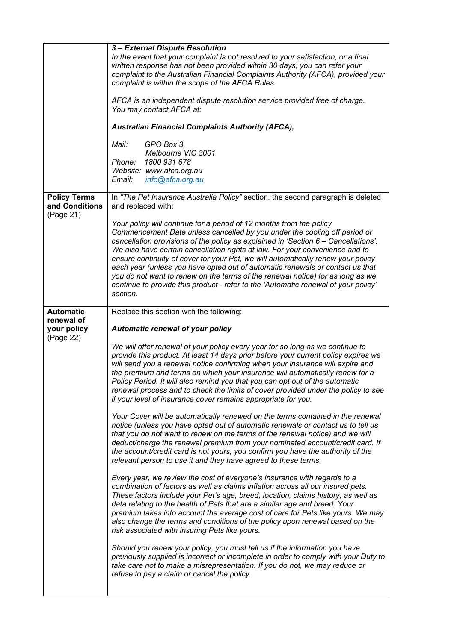|                                       | 3 - External Dispute Resolution<br>In the event that your complaint is not resolved to your satisfaction, or a final<br>written response has not been provided within 30 days, you can refer your<br>complaint to the Australian Financial Complaints Authority (AFCA), provided your<br>complaint is within the scope of the AFCA Rules.<br>AFCA is an independent dispute resolution service provided free of charge.<br>You may contact AFCA at:<br><b>Australian Financial Complaints Authority (AFCA),</b><br>Mail:<br>GPO Box 3,<br>Melbourne VIC 3001<br>1800 931 678<br>Phone:<br>Website: www.afca.org.au<br>Email:<br>info@afca.org.au                                |
|---------------------------------------|---------------------------------------------------------------------------------------------------------------------------------------------------------------------------------------------------------------------------------------------------------------------------------------------------------------------------------------------------------------------------------------------------------------------------------------------------------------------------------------------------------------------------------------------------------------------------------------------------------------------------------------------------------------------------------|
| <b>Policy Terms</b><br>and Conditions | In "The Pet Insurance Australia Policy" section, the second paragraph is deleted<br>and replaced with:                                                                                                                                                                                                                                                                                                                                                                                                                                                                                                                                                                          |
| (Page 21)                             | Your policy will continue for a period of 12 months from the policy<br>Commencement Date unless cancelled by you under the cooling off period or<br>cancellation provisions of the policy as explained in 'Section 6 - Cancellations'.<br>We also have certain cancellation rights at law. For your convenience and to<br>ensure continuity of cover for your Pet, we will automatically renew your policy<br>each year (unless you have opted out of automatic renewals or contact us that<br>you do not want to renew on the terms of the renewal notice) for as long as we<br>continue to provide this product - refer to the 'Automatic renewal of your policy'<br>section. |
| <b>Automatic</b><br>renewal of        | Replace this section with the following:                                                                                                                                                                                                                                                                                                                                                                                                                                                                                                                                                                                                                                        |
| your policy<br>(Page 22)              | Automatic renewal of your policy                                                                                                                                                                                                                                                                                                                                                                                                                                                                                                                                                                                                                                                |
|                                       | We will offer renewal of your policy every year for so long as we continue to<br>provide this product. At least 14 days prior before your current policy expires we<br>will send you a renewal notice confirming when your insurance will expire and<br>the premium and terms on which your insurance will automatically renew for a<br>Policy Period. It will also remind you that you can opt out of the automatic<br>renewal process and to check the limits of cover provided under the policy to see<br>if your level of insurance cover remains appropriate for you.                                                                                                      |
|                                       | Your Cover will be automatically renewed on the terms contained in the renewal<br>notice (unless you have opted out of automatic renewals or contact us to tell us<br>that you do not want to renew on the terms of the renewal notice) and we will<br>deduct/charge the renewal premium from your nominated account/credit card. If<br>the account/credit card is not yours, you confirm you have the authority of the<br>relevant person to use it and they have agreed to these terms.                                                                                                                                                                                       |
|                                       | Every year, we review the cost of everyone's insurance with regards to a<br>combination of factors as well as claims inflation across all our insured pets.<br>These factors include your Pet's age, breed, location, claims history, as well as<br>data relating to the health of Pets that are a similar age and breed. Your<br>premium takes into account the average cost of care for Pets like yours. We may<br>also change the terms and conditions of the policy upon renewal based on the<br>risk associated with insuring Pets like yours.                                                                                                                             |
|                                       | Should you renew your policy, you must tell us if the information you have<br>previously supplied is incorrect or incomplete in order to comply with your Duty to<br>take care not to make a misrepresentation. If you do not, we may reduce or<br>refuse to pay a claim or cancel the policy.                                                                                                                                                                                                                                                                                                                                                                                  |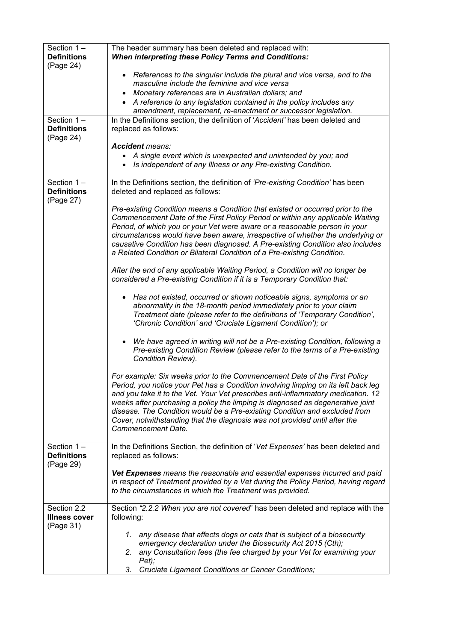| Section $1 -$<br><b>Definitions</b><br>(Page 24) | The header summary has been deleted and replaced with:<br><b>When interpreting these Policy Terms and Conditions:</b>                                                                                                                                                                                                                                                                                                                                                                                                   |
|--------------------------------------------------|-------------------------------------------------------------------------------------------------------------------------------------------------------------------------------------------------------------------------------------------------------------------------------------------------------------------------------------------------------------------------------------------------------------------------------------------------------------------------------------------------------------------------|
|                                                  | • References to the singular include the plural and vice versa, and to the<br>masculine include the feminine and vice versa                                                                                                                                                                                                                                                                                                                                                                                             |
|                                                  | Monetary references are in Australian dollars; and<br>$\bullet$<br>• A reference to any legislation contained in the policy includes any<br>amendment, replacement, re-enactment or successor legislation.                                                                                                                                                                                                                                                                                                              |
| Section $1 -$<br><b>Definitions</b><br>(Page 24) | In the Definitions section, the definition of 'Accident' has been deleted and<br>replaced as follows:                                                                                                                                                                                                                                                                                                                                                                                                                   |
|                                                  | <b>Accident means:</b><br>A single event which is unexpected and unintended by you; and<br>• Is independent of any Illness or any Pre-existing Condition.                                                                                                                                                                                                                                                                                                                                                               |
| Section $1 -$<br><b>Definitions</b><br>(Page 27) | In the Definitions section, the definition of 'Pre-existing Condition' has been<br>deleted and replaced as follows:                                                                                                                                                                                                                                                                                                                                                                                                     |
|                                                  | Pre-existing Condition means a Condition that existed or occurred prior to the<br>Commencement Date of the First Policy Period or within any applicable Waiting<br>Period, of which you or your Vet were aware or a reasonable person in your<br>circumstances would have been aware, irrespective of whether the underlying or<br>causative Condition has been diagnosed. A Pre-existing Condition also includes<br>a Related Condition or Bilateral Condition of a Pre-existing Condition.                            |
|                                                  | After the end of any applicable Waiting Period, a Condition will no longer be<br>considered a Pre-existing Condition if it is a Temporary Condition that:                                                                                                                                                                                                                                                                                                                                                               |
|                                                  | • Has not existed, occurred or shown noticeable signs, symptoms or an<br>abnormality in the 18-month period immediately prior to your claim<br>Treatment date (please refer to the definitions of 'Temporary Condition',<br>'Chronic Condition' and 'Cruciate Ligament Condition'); or                                                                                                                                                                                                                                  |
|                                                  | We have agreed in writing will not be a Pre-existing Condition, following a<br>$\bullet$<br>Pre-existing Condition Review (please refer to the terms of a Pre-existing<br>Condition Review).                                                                                                                                                                                                                                                                                                                            |
|                                                  | For example: Six weeks prior to the Commencement Date of the First Policy<br>Period, you notice your Pet has a Condition involving limping on its left back leg<br>and you take it to the Vet. Your Vet prescribes anti-inflammatory medication. 12<br>weeks after purchasing a policy the limping is diagnosed as degenerative joint<br>disease. The Condition would be a Pre-existing Condition and excluded from<br>Cover, notwithstanding that the diagnosis was not provided until after the<br>Commencement Date. |
| Section $1 -$<br><b>Definitions</b><br>(Page 29) | In the Definitions Section, the definition of 'Vet Expenses' has been deleted and<br>replaced as follows:                                                                                                                                                                                                                                                                                                                                                                                                               |
|                                                  | Vet Expenses means the reasonable and essential expenses incurred and paid<br>in respect of Treatment provided by a Vet during the Policy Period, having regard<br>to the circumstances in which the Treatment was provided.                                                                                                                                                                                                                                                                                            |
| Section 2.2<br><b>Illness cover</b><br>(Page 31) | Section "2.2.2 When you are not covered" has been deleted and replace with the<br>following:                                                                                                                                                                                                                                                                                                                                                                                                                            |
|                                                  | any disease that affects dogs or cats that is subject of a biosecurity<br>1.<br>emergency declaration under the Biosecurity Act 2015 (Cth);<br>any Consultation fees (the fee charged by your Vet for examining your<br>2.<br>Pet);<br>Cruciate Ligament Conditions or Cancer Conditions;<br>3.                                                                                                                                                                                                                         |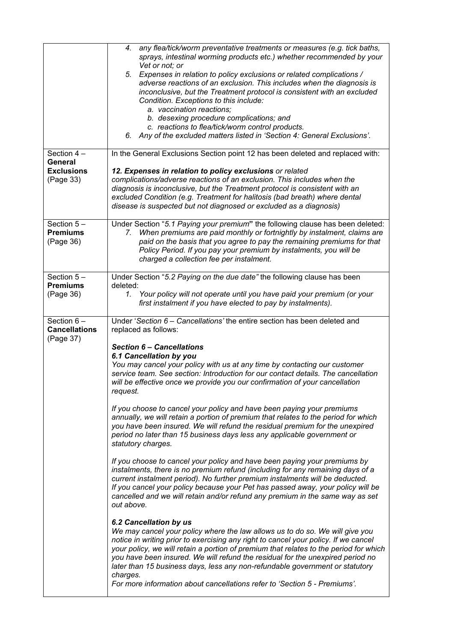| Section $4-$                                      | any flea/tick/worm preventative treatments or measures (e.g. tick baths,<br>4.<br>sprays, intestinal worming products etc.) whether recommended by your<br>Vet or not; or<br>Expenses in relation to policy exclusions or related complications /<br>5.<br>adverse reactions of an exclusion. This includes when the diagnosis is<br>inconclusive, but the Treatment protocol is consistent with an excluded<br>Condition. Exceptions to this include:<br>a. vaccination reactions;<br>b. desexing procedure complications; and<br>c. reactions to flea/tick/worm control products.<br>6. Any of the excluded matters listed in 'Section 4: General Exclusions'.<br>In the General Exclusions Section point 12 has been deleted and replaced with:                                                                                                                                                                                                                                                                            |
|---------------------------------------------------|-------------------------------------------------------------------------------------------------------------------------------------------------------------------------------------------------------------------------------------------------------------------------------------------------------------------------------------------------------------------------------------------------------------------------------------------------------------------------------------------------------------------------------------------------------------------------------------------------------------------------------------------------------------------------------------------------------------------------------------------------------------------------------------------------------------------------------------------------------------------------------------------------------------------------------------------------------------------------------------------------------------------------------|
| General<br><b>Exclusions</b><br>(Page 33)         | 12. Expenses in relation to policy exclusions or related<br>complications/adverse reactions of an exclusion. This includes when the<br>diagnosis is inconclusive, but the Treatment protocol is consistent with an<br>excluded Condition (e.g. Treatment for halitosis (bad breath) where dental<br>disease is suspected but not diagnosed or excluded as a diagnosis)                                                                                                                                                                                                                                                                                                                                                                                                                                                                                                                                                                                                                                                        |
| Section $5-$<br><b>Premiums</b><br>(Page 36)      | Under Section "5.1 Paying your premium" the following clause has been deleted:<br>When premiums are paid monthly or fortnightly by instalment, claims are<br>7.<br>paid on the basis that you agree to pay the remaining premiums for that<br>Policy Period. If you pay your premium by instalments, you will be<br>charged a collection fee per instalment.                                                                                                                                                                                                                                                                                                                                                                                                                                                                                                                                                                                                                                                                  |
| Section $5-$<br><b>Premiums</b><br>(Page 36)      | Under Section "5.2 Paying on the due date" the following clause has been<br>deleted:<br>Your policy will not operate until you have paid your premium (or your<br>1.<br>first instalment if you have elected to pay by instalments).                                                                                                                                                                                                                                                                                                                                                                                                                                                                                                                                                                                                                                                                                                                                                                                          |
| Section $6-$<br><b>Cancellations</b><br>(Page 37) | Under 'Section 6 - Cancellations' the entire section has been deleted and<br>replaced as follows:<br><b>Section 6 - Cancellations</b><br>6.1 Cancellation by you<br>You may cancel your policy with us at any time by contacting our customer<br>service team. See section: Introduction for our contact details. The cancellation<br>will be effective once we provide you our confirmation of your cancellation<br>request.<br>If you choose to cancel your policy and have been paying your premiums<br>annually, we will retain a portion of premium that relates to the period for which<br>you have been insured. We will refund the residual premium for the unexpired<br>period no later than 15 business days less any applicable government or<br>statutory charges.<br>If you choose to cancel your policy and have been paying your premiums by<br>instalments, there is no premium refund (including for any remaining days of a<br>current instalment period). No further premium instalments will be deducted. |
|                                                   | If you cancel your policy because your Pet has passed away, your policy will be<br>cancelled and we will retain and/or refund any premium in the same way as set<br>out above.<br>6.2 Cancellation by us<br>We may cancel your policy where the law allows us to do so. We will give you<br>notice in writing prior to exercising any right to cancel your policy. If we cancel<br>your policy, we will retain a portion of premium that relates to the period for which<br>you have been insured. We will refund the residual for the unexpired period no<br>later than 15 business days, less any non-refundable government or statutory<br>charges.<br>For more information about cancellations refer to 'Section 5 - Premiums'.                                                                                                                                                                                                                                                                                           |